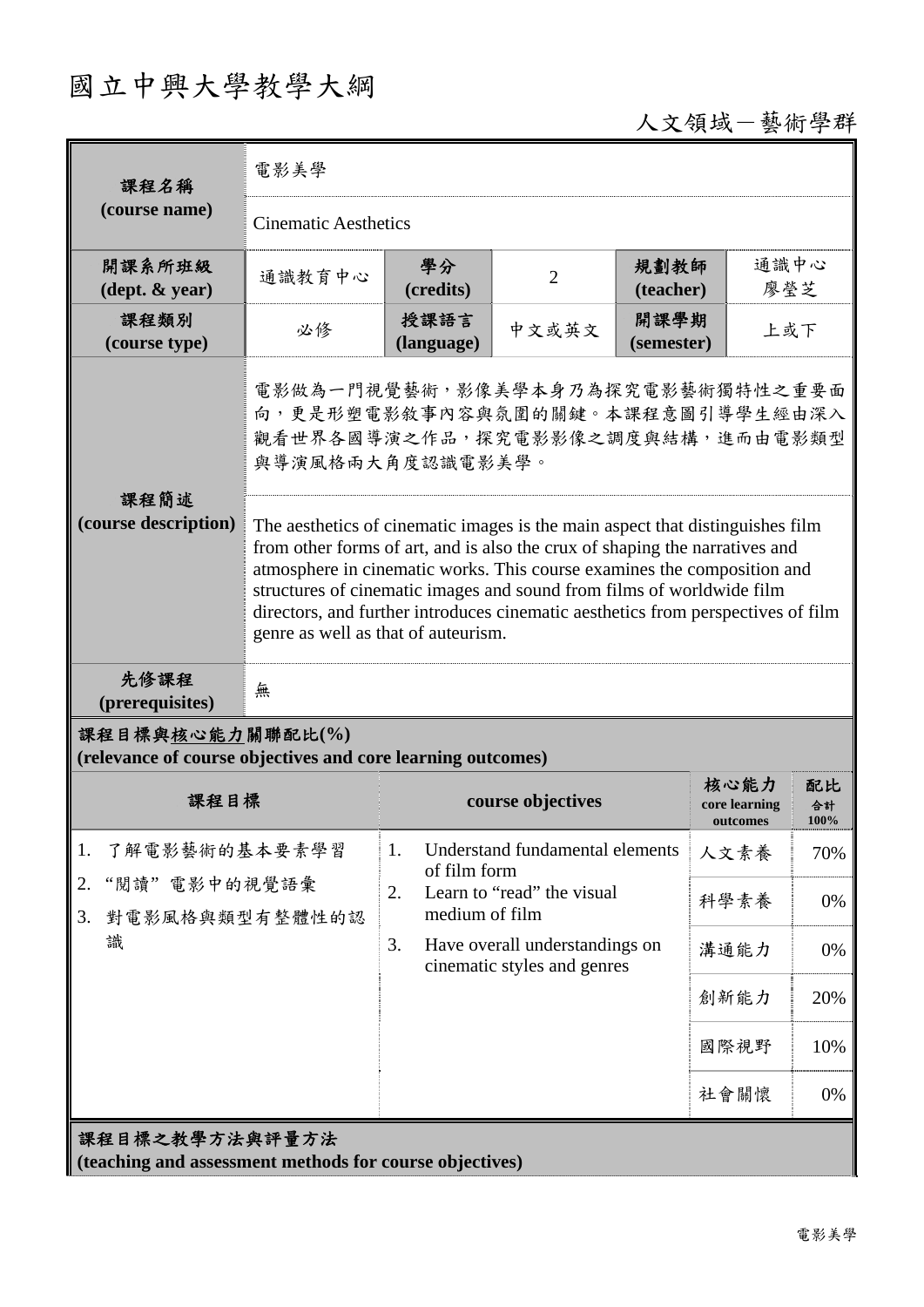# 國立中興大學教學大綱

人文領域-藝術學群

| 課程名稱                                                                            | 電影美學                                                                                                                                                                                                                                                                                                                                                                                                                                        |                                                    |                                                               |                    |                                   |                  |  |
|---------------------------------------------------------------------------------|---------------------------------------------------------------------------------------------------------------------------------------------------------------------------------------------------------------------------------------------------------------------------------------------------------------------------------------------------------------------------------------------------------------------------------------------|----------------------------------------------------|---------------------------------------------------------------|--------------------|-----------------------------------|------------------|--|
| (course name)                                                                   | <b>Cinematic Aesthetics</b>                                                                                                                                                                                                                                                                                                                                                                                                                 |                                                    |                                                               |                    |                                   |                  |  |
| 開課系所班級<br>$(\text{dept.} \& \text{ year})$                                      | 通識教育中心                                                                                                                                                                                                                                                                                                                                                                                                                                      | 學分<br>(credits)                                    | $\overline{2}$                                                | 規劃教師<br>(teacher)  | 通識中心<br>廖瑩芝                       |                  |  |
| 課程類別<br>(course type)                                                           | 必修                                                                                                                                                                                                                                                                                                                                                                                                                                          | 授課語言<br>(language)                                 | 中文或英文                                                         | 開課學期<br>(semester) | 上或下                               |                  |  |
| 課程簡述                                                                            | 電影做為一門視覺藝術,影像美學本身乃為探究電影藝術獨特性之重要面<br>向,更是形塑電影敘事內容與氛圍的關鍵。本課程意圖引導學生經由深入<br>觀看世界各國導演之作品,探究電影影像之調度與結構,進而由電影類型<br>與導演風格兩大角度認識電影美學。                                                                                                                                                                                                                                                                                                                |                                                    |                                                               |                    |                                   |                  |  |
| (course description)                                                            | The aesthetics of cinematic images is the main aspect that distinguishes film<br>from other forms of art, and is also the crux of shaping the narratives and<br>atmosphere in cinematic works. This course examines the composition and<br>structures of cinematic images and sound from films of worldwide film<br>directors, and further introduces cinematic aesthetics from perspectives of film<br>genre as well as that of auteurism. |                                                    |                                                               |                    |                                   |                  |  |
| 先修課程<br>(prerequisites)                                                         | 無                                                                                                                                                                                                                                                                                                                                                                                                                                           |                                                    |                                                               |                    |                                   |                  |  |
| 課程目標與核心能力關聯配比(%)<br>(relevance of course objectives and core learning outcomes) |                                                                                                                                                                                                                                                                                                                                                                                                                                             |                                                    |                                                               |                    |                                   |                  |  |
| 課程目標                                                                            |                                                                                                                                                                                                                                                                                                                                                                                                                                             | course objectives                                  |                                                               |                    | 核心能力<br>core learning<br>outcomes | 配比<br>合計<br>100% |  |
| 1.<br>了解電影藝術的基本要素學習<br>2.<br>"閱讀"電影中的視覺語彙<br>對電影風格與類型有整體性的認<br>3.<br>識          |                                                                                                                                                                                                                                                                                                                                                                                                                                             | 1.<br>of film form                                 | Understand fundamental elements                               |                    | 人文素養                              | 70%              |  |
|                                                                                 |                                                                                                                                                                                                                                                                                                                                                                                                                                             | Learn to "read" the visual<br>2.<br>medium of film |                                                               |                    | 科學素養                              | 0%               |  |
|                                                                                 |                                                                                                                                                                                                                                                                                                                                                                                                                                             | 3.                                                 | Have overall understandings on<br>cinematic styles and genres |                    | 溝通能力                              | 0%               |  |
|                                                                                 |                                                                                                                                                                                                                                                                                                                                                                                                                                             |                                                    |                                                               |                    | 創新能力                              | 20%              |  |
|                                                                                 |                                                                                                                                                                                                                                                                                                                                                                                                                                             |                                                    |                                                               |                    | 國際視野                              | 10%              |  |
|                                                                                 |                                                                                                                                                                                                                                                                                                                                                                                                                                             |                                                    |                                                               |                    | 社會關懷                              | 0%               |  |
| 課程目標之教學方法與評量方法<br>(teaching and assessment methods for course objectives)       |                                                                                                                                                                                                                                                                                                                                                                                                                                             |                                                    |                                                               |                    |                                   |                  |  |